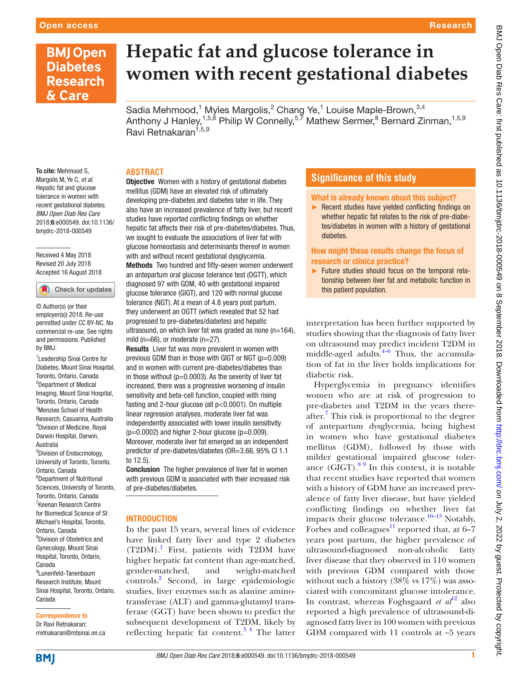## **BMJ Open Diabetes Research** & Care

# **Hepatic fat and glucose tolerance in women with recent gestational diabetes**

Sadia Mehmood,<sup>1</sup> Myles Margolis,<sup>2</sup> Chang Ye,<sup>1</sup> Louise Maple-Brown,<sup>3,4</sup> Anthony J Hanley,<sup>1,5,6</sup> Philip W Connelly,<sup>5,7</sup> Mathew Sermer,<sup>8</sup> Bernard Zinman,<sup>1,5,9</sup> Ravi Retnakaran<sup>1,5,9</sup>

#### **Abstract**

To cite: Mehmood S, Margolis M, Ye C, *et al*. Hepatic fat and glucose tolerance in women with recent gestational diabetes. *BMJ Open Diab Res Care* 2018;6:e000549. doi:10.1136/ bmjdrc-2018-000549

Received 4 May 2018 Revised 20 July 2018 Accepted 16 August 2018

Check for updates

© Author(s) (or their employer(s)) 2018. Re-use permitted under CC BY-NC. No commercial re-use. See rights and permissions. Published by BMJ.

1 Leadership Sinai Centre for Diabetes, Mount Sinai Hospital, Toronto, Ontario, Canada 2 Department of Medical Imaging, Mount Sinai Hospital, Toronto, Ontario, Canada 3 Menzies School of Health Research, Casuarina, Australia 4 Division of Medicine, Royal Darwin Hospital, Darwin, Australia 5 Division of Endocrinology, University of Toronto, Toronto, Ontario, Canada 6 Department of Nutritional Sciences, University of Toronto, Toronto, Ontario, Canada <sup>7</sup> Keenan Research Centre for Biomedical Science of St Michael's Hospital, Toronto, Ontario, Canada 8 Division of Obstetrics and Gynecology, Mount Sinai Hospital, Toronto, Ontario, Canada 9 Lunenfeld-Tanenbaum Research Institute, Mount Sinai Hospital, Toronto, Ontario, Canada

Correspondence to

Dr Ravi Retnakaran; rretnakaran@mtsinai.on.ca

**Objective** Women with a history of gestational diabetes mellitus (GDM) have an elevated risk of ultimately developing pre-diabetes and diabetes later in life. They also have an increased prevalence of fatty liver, but recent studies have reported conflicting findings on whether hepatic fat affects their risk of pre-diabetes/diabetes. Thus, we sought to evaluate the associations of liver fat with glucose homeostasis and determinants thereof in women with and without recent gestational dysglycemia. Methods Two hundred and fifty-seven women underwent an antepartum oral glucose tolerance test (OGTT), which diagnosed 97 with GDM, 40 with gestational impaired glucose tolerance (GIGT), and 120 with normal glucose tolerance (NGT). At a mean of 4.8 years post partum, they underwent an OGTT (which revealed that 52 had progressed to pre-diabetes/diabetes) and hepatic ultrasound, on which liver fat was graded as none  $(n=164)$ , mild (n=66), or moderate (n=27).

**Results** Liver fat was more prevalent in women with previous GDM than in those with GIGT or NGT (p=0.009) and in women with current pre-diabetes/diabetes than in those without ( $p=0.0003$ ). As the severity of liver fat increased, there was a progressive worsening of insulin sensitivity and beta-cell function, coupled with rising fasting and 2-hour glucose (all p<0.0001). On multiple linear regression analyses, moderate liver fat was independently associated with lower insulin sensitivity  $(p=0.0002)$  and higher 2-hour glucose  $(p=0.009)$ . Moreover, moderate liver fat emerged as an independent predictor of pre-diabetes/diabetes (OR=3.66, 95% CI 1.1 to 12.5).

Conclusion The higher prevalence of liver fat in women with previous GDM is associated with their increased risk of pre-diabetes/diabetes.

#### **INTRODUCTION**

In the past 15 years, several lines of evidence have linked fatty liver and type 2 diabetes (T2DM)[.1](#page-7-0) First, patients with T2DM have higher hepatic fat content than age-matched, gender-matched, and weight-matched controls.[2](#page-7-1) Second, in large epidemiologic studies, liver enzymes such as alanine aminotransferase (ALT) and gamma-glutamyl transferase (GGT) have been shown to predict the subsequent development of T2DM, likely by reflecting hepatic fat content.[3 4](#page-7-2) The latter

### **Significance of this study**

What is already known about this subject?

► Recent studies have yielded conflicting findings on whether hepatic fat relates to the risk of pre-diabetes/diabetes in women with a history of gestational diabetes.

How might these results change the focus of research or clinica practice?

► Future studies should focus on the temporal relationship between liver fat and metabolic function in this patient population.

interpretation has been further supported by studies showing that the diagnosis of fatty liver on ultrasound may predict incident T2DM in middle-aged adults. $4-6$  Thus, the accumulation of fat in the liver holds implications for diabetic risk.

Hyperglycemia in pregnancy identifies women who are at risk of progression to pre-diabetes and T2DM in the years thereafter.<sup>7</sup> This risk is proportional to the degree of antepartum dysglycemia, being highest in women who have gestational diabetes mellitus (GDM), followed by those with milder gestational impaired glucose tolerance  $(GIGT)$ .<sup>89</sup> In this context, it is notable that recent studies have reported that women with a history of GDM have an increased prevalence of fatty liver disease, but have yielded conflicting findings on whether liver fat impacts their glucose tolerance.<sup>10–13</sup> Notably, Forbes and colleagues<sup>11</sup> reported that, at  $6-\overline{7}$ years post partum, the higher prevalence of ultrasound-diagnosed non-alcoholic fatty liver disease that they observed in 110 women with previous GDM compared with those without such a history (38% vs 17%) was associated with concomitant glucose intolerance. In contrast, whereas Foghsgaard *et*  $al^2$  also reported a high prevalence of ultrasound-diagnosed fatty liver in 100 women with previous GDM compared with  $11$  controls at  $\sim$ 5 years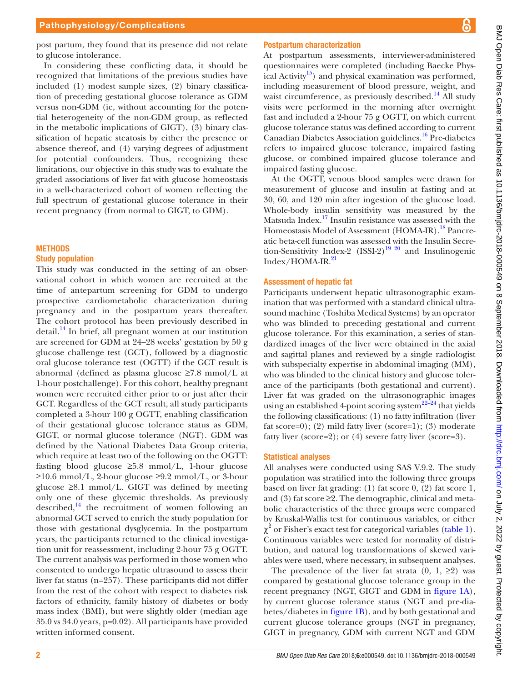BMJ Open Diab Res Care: first published as 10.1136/bmjdrc-2018-000549 on 8 September 2018. Downloaded from http://drc.bmj.com/ on July 2, 2022 by guest. Protected by copyright BMJ Open Diab Res Care: first published as 10.1136/bmjdrc-2018-000549 on 8 September 2018. Downloaded from <http://drc.bmj.com/> on July 2, 2022 by guest. Protected by copyright.

post partum, they found that its presence did not relate to glucose intolerance.

In considering these conflicting data, it should be recognized that limitations of the previous studies have included (1) modest sample sizes, (2) binary classification of preceding gestational glucose tolerance as GDM versus non-GDM (ie, without accounting for the potential heterogeneity of the non-GDM group, as reflected in the metabolic implications of GIGT), (3) binary classification of hepatic steatosis by either the presence or absence thereof, and (4) varying degrees of adjustment for potential confounders. Thus, recognizing these limitations, our objective in this study was to evaluate the graded associations of liver fat with glucose homeostasis in a well-characterized cohort of women reflecting the full spectrum of gestational glucose tolerance in their recent pregnancy (from normal to GIGT, to GDM).

#### **METHODS**

#### Study population

This study was conducted in the setting of an observational cohort in which women are recruited at the time of antepartum screening for GDM to undergo prospective cardiometabolic characterization during pregnancy and in the postpartum years thereafter. The cohort protocol has been previously described in  $\delta$  detail.<sup>[14](#page-7-9)</sup> In brief, all pregnant women at our institution are screened for GDM at 24–28 weeks' gestation by 50 g glucose challenge test (GCT), followed by a diagnostic oral glucose tolerance test (OGTT) if the GCT result is abnormal (defined as plasma glucose ≥7.8 mmol/L at 1-hour postchallenge). For this cohort, healthy pregnant women were recruited either prior to or just after their GCT. Regardless of the GCT result, all study participants completed a 3-hour 100 g OGTT, enabling classification of their gestational glucose tolerance status as GDM, GIGT, or normal glucose tolerance (NGT). GDM was defined by the National Diabetes Data Group criteria, which require at least two of the following on the OGTT: fasting blood glucose  $\geq 5.8$  mmol/L, 1-hour glucose  $\geq 10.6$  mmol/L, 2-hour glucose  $\geq 9.2$  mmol/L, or 3-hour glucose ≥8.1 mmol/L. GIGT was defined by meeting only one of these glycemic thresholds. As previously described, $14$  the recruitment of women following an abnormal GCT served to enrich the study population for those with gestational dysglycemia. In the postpartum years, the participants returned to the clinical investigation unit for reassessment, including 2-hour 75 g OGTT. The current analysis was performed in those women who consented to undergo hepatic ultrasound to assess their liver fat status (n=257). These participants did not differ from the rest of the cohort with respect to diabetes risk factors of ethnicity, family history of diabetes or body mass index (BMI), but were slightly older (median age 35.0 vs 34.0 years, p=0.02). All participants have provided written informed consent.

#### Postpartum characterization

At postpartum assessments, interviewer-administered questionnaires were completed (including Baecke Physical Activity<sup>15</sup>) and physical examination was performed, including measurement of blood pressure, weight, and waist circumference, as previously described.<sup>[14](#page-7-9)</sup> All study visits were performed in the morning after overnight fast and included a 2-hour 75 g OGTT, on which current glucose tolerance status was defined according to current Canadian Diabetes Association guidelines.[16](#page-7-11) Pre-diabetes refers to impaired glucose tolerance, impaired fasting glucose, or combined impaired glucose tolerance and impaired fasting glucose.

At the OGTT, venous blood samples were drawn for measurement of glucose and insulin at fasting and at 30, 60, and 120 min after ingestion of the glucose load. Whole-body insulin sensitivity was measured by the Matsuda Index.[17](#page-7-12) Insulin resistance was assessed with the Homeostasis Model of Assessment (HOMA-IR).<sup>[18](#page-7-13)</sup> Pancreatic beta-cell function was assessed with the Insulin Secretion-Sensitivity Index-2  $(ISSI-2)^{19}$  20 and Insulinogenic Index/HOMA-IR.[21](#page-7-15)

#### Assessment of hepatic fat

Participants underwent hepatic ultrasonographic examination that was performed with a standard clinical ultrasound machine (Toshiba Medical Systems) by an operator who was blinded to preceding gestational and current glucose tolerance. For this examination, a series of standardized images of the liver were obtained in the axial and sagittal planes and reviewed by a single radiologist with subspecialty expertise in abdominal imaging (MM), who was blinded to the clinical history and glucose tolerance of the participants (both gestational and current). Liver fat was graded on the ultrasonographic images using an established 4-point scoring system<sup>22–24</sup> that yields the following classifications: (1) no fatty infiltration (liver fat score=0); (2) mild fatty liver (score=1); (3) moderate fatty liver (score=2); or (4) severe fatty liver (score=3).

#### Statistical analyses

All analyses were conducted using SAS V.9.2. The study population was stratified into the following three groups based on liver fat grading: (1) fat score 0, (2) fat score 1, and (3) fat score ≥2. The demographic, clinical and metabolic characteristics of the three groups were compared by Kruskal-Wallis test for continuous variables, or either  $\chi^2$  or Fisher's exact test for categorical variables [\(table](#page-2-0) 1). Continuous variables were tested for normality of distribution, and natural log transformations of skewed variables were used, where necessary, in subsequent analyses.

The prevalence of the liver fat strata  $(0, 1, \geq 2)$  was compared by gestational glucose tolerance group in the recent pregnancy (NGT, GIGT and GDM in [figure](#page-3-0) 1A), by current glucose tolerance status (NGT and pre-diabetes/diabetes in [figure](#page-3-0) 1B), and by both gestational and current glucose tolerance groups (NGT in pregnancy, GIGT in pregnancy, GDM with current NGT and GDM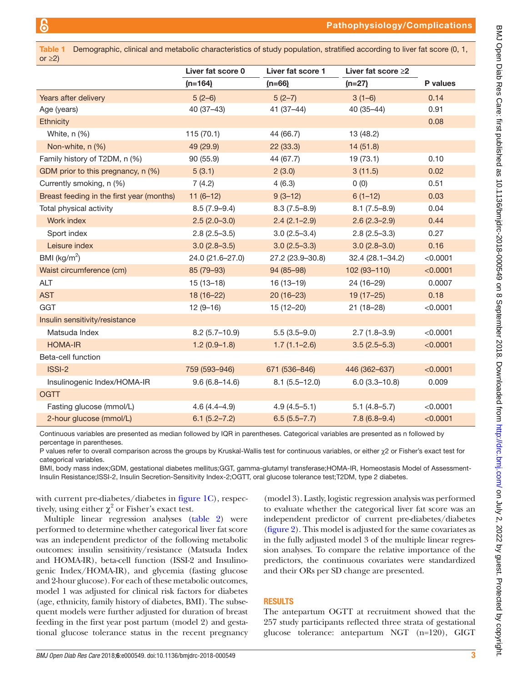<span id="page-2-0"></span>

| Demographic, clinical and metabolic characteristics of study population, stratified according to liver fat score (0, 1,<br><b>Table 1</b><br>or $\geq$ 2) |                   |                   |                          |          |  |  |
|-----------------------------------------------------------------------------------------------------------------------------------------------------------|-------------------|-------------------|--------------------------|----------|--|--|
|                                                                                                                                                           | Liver fat score 0 | Liver fat score 1 | Liver fat score $\geq 2$ |          |  |  |
|                                                                                                                                                           | $(n=164)$         | $(n=66)$          | $(n=27)$                 | P values |  |  |
| Years after delivery                                                                                                                                      | $5(2-6)$          | $5(2-7)$          | $3(1-6)$                 | 0.14     |  |  |
| Age (years)                                                                                                                                               | $40(37-43)$       | $41(37-44)$       | 40 (35-44)               | 0.91     |  |  |
| <b>Ethnicity</b>                                                                                                                                          |                   |                   |                          | 0.08     |  |  |
| White, n (%)                                                                                                                                              | 115(70.1)         | 44 (66.7)         | 13 (48.2)                |          |  |  |
| Non-white, n (%)                                                                                                                                          | 49 (29.9)         | 22(33.3)          | 14 (51.8)                |          |  |  |
| Family history of T2DM, n (%)                                                                                                                             | 90(55.9)          | 44 (67.7)         | 19 (73.1)                | 0.10     |  |  |
| GDM prior to this pregnancy, n (%)                                                                                                                        | 5(3.1)            | 2(3.0)            | 3(11.5)                  | 0.02     |  |  |
| Currently smoking, n (%)                                                                                                                                  | 7(4.2)            | 4(6.3)            | 0(0)                     | 0.51     |  |  |
| Breast feeding in the first year (months)                                                                                                                 | $11(6-12)$        | $9(3-12)$         | $6(1-12)$                | 0.03     |  |  |
| Total physical activity                                                                                                                                   | $8.5(7.9-9.4)$    | $8.3(7.5-8.9)$    | $8.1(7.5 - 8.9)$         | 0.04     |  |  |
| Work index                                                                                                                                                | $2.5(2.0-3.0)$    | $2.4(2.1-2.9)$    | $2.6(2.3 - 2.9)$         | 0.44     |  |  |
| Sport index                                                                                                                                               | $2.8(2.5-3.5)$    | $3.0(2.5 - 3.4)$  | $2.8(2.5-3.3)$           | 0.27     |  |  |
| Leisure index                                                                                                                                             | $3.0(2.8-3.5)$    | $3.0(2.5-3.3)$    | $3.0(2.8 - 3.0)$         | 0.16     |  |  |
| BMI ( $\text{kg/m}^2$ )                                                                                                                                   | 24.0 (21.6-27.0)  | 27.2 (23.9-30.8)  | 32.4 (28.1-34.2)         | < 0.0001 |  |  |
| Waist circumference (cm)                                                                                                                                  | 85 (79-93)        | 94 (85-98)        | 102 (93-110)             | < 0.0001 |  |  |
| ALT                                                                                                                                                       | $15(13-18)$       | $16(13-19)$       | 24 (16-29)               | 0.0007   |  |  |
| <b>AST</b>                                                                                                                                                | $18(16-22)$       | $20(16-23)$       | $19(17-25)$              | 0.18     |  |  |
| GGT                                                                                                                                                       | $12(9-16)$        | $15(12-20)$       | $21(18-28)$              | < 0.0001 |  |  |
| Insulin sensitivity/resistance                                                                                                                            |                   |                   |                          |          |  |  |
| Matsuda Index                                                                                                                                             | $8.2(5.7-10.9)$   | $5.5(3.5-9.0)$    | $2.7(1.8-3.9)$           | < 0.0001 |  |  |
| <b>HOMA-IR</b>                                                                                                                                            | $1.2(0.9-1.8)$    | $1.7(1.1 - 2.6)$  | $3.5(2.5-5.3)$           | < 0.0001 |  |  |
| Beta-cell function                                                                                                                                        |                   |                   |                          |          |  |  |
| ISSI-2                                                                                                                                                    | 759 (593-946)     | 671 (536-846)     | 446 (362-637)            | < 0.0001 |  |  |
| Insulinogenic Index/HOMA-IR                                                                                                                               | $9.6(6.8 - 14.6)$ | $8.1(5.5 - 12.0)$ | $6.0(3.3 - 10.8)$        | 0.009    |  |  |
| <b>OGTT</b>                                                                                                                                               |                   |                   |                          |          |  |  |
| Fasting glucose (mmol/L)                                                                                                                                  | $4.6(4.4 - 4.9)$  | $4.9(4.5 - 5.1)$  | $5.1(4.8-5.7)$           | < 0.0001 |  |  |
| 2-hour glucose (mmol/L)                                                                                                                                   | $6.1(5.2 - 7.2)$  | $6.5(5.5 - 7.7)$  | $7.8(6.8-9.4)$           | < 0.0001 |  |  |

Continuous variables are presented as median followed by IQR in parentheses. Categorical variables are presented as n followed by percentage in parentheses.

P values refer to overall comparison across the groups by Kruskal-Wallis test for continuous variables, or either χ2 or Fisher's exact test for categorical variables.

BMI, body mass index;GDM, gestational diabetes mellitus;GGT, gamma-glutamyl transferase;HOMA-IR, Homeostasis Model of Assessment-Insulin Resistance;ISSI-2, Insulin Secretion-Sensitivity Index-2;OGTT, oral glucose tolerance test;T2DM, type 2 diabetes.

with current pre-diabetes/diabetes in [figure](#page-3-0) 1C), respectively, using either  $\chi^2$  or Fisher's exact test.

Multiple linear regression analyses [\(table](#page-4-0) 2) were performed to determine whether categorical liver fat score was an independent predictor of the following metabolic outcomes: insulin sensitivity/resistance (Matsuda Index and HOMA-IR), beta-cell function (ISSI-2 and Insulinogenic Index/HOMA-IR), and glycemia (fasting glucose and 2-hour glucose). For each of these metabolic outcomes, model 1 was adjusted for clinical risk factors for diabetes (age, ethnicity, family history of diabetes, BMI). The subsequent models were further adjusted for duration of breast feeding in the first year post partum (model 2) and gestational glucose tolerance status in the recent pregnancy

(model 3). Lastly, logistic regression analysis was performed to evaluate whether the categorical liver fat score was an independent predictor of current pre-diabetes/diabetes [\(figure](#page-5-0) 2). This model is adjusted for the same covariates as in the fully adjusted model 3 of the multiple linear regression analyses. To compare the relative importance of the predictors, the continuous covariates were standardized and their ORs per SD change are presented.

#### **RESULTS**

The antepartum OGTT at recruitment showed that the 257 study participants reflected three strata of gestational glucose tolerance: antepartum NGT (n=120), GIGT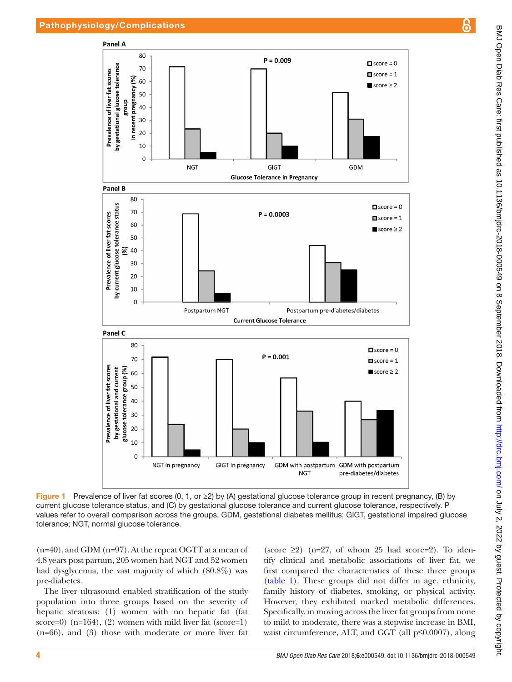

Figure 1 Prevalence of liver fat scores (0, 1, or  $\geq$ ) by (A) gestational glucose tolerance group in recent pregnancy, (B) by current glucose tolerance status, and (C) by gestational glucose tolerance and current glucose tolerance, respectively. P values refer to overall comparison across the groups. GDM, gestational diabetes mellitus; GIGT, gestational impaired glucose tolerance; NGT, normal glucose tolerance.

(n=40), and GDM (n=97). At the repeat OGTT at a mean of 4.8 years post partum, 205 women had NGT and 52 women had dysglycemia, the vast majority of which (80.8%) was pre-diabetes.

The liver ultrasound enabled stratification of the study population into three groups based on the severity of hepatic steatosis: (1) women with no hepatic fat (fat score=0)  $(n=164)$ ,  $(2)$  women with mild liver fat  $(score=1)$ (n=66), and (3) those with moderate or more liver fat

<span id="page-3-0"></span>(score  $\geq$ 2) (n=27, of whom 25 had score=2). To identify clinical and metabolic associations of liver fat, we first compared the characteristics of these three groups [\(table](#page-2-0) 1). These groups did not differ in age, ethnicity, family history of diabetes, smoking, or physical activity. However, they exhibited marked metabolic differences. Specifically, in moving across the liver fat groups from none to mild to moderate, there was a stepwise increase in BMI, waist circumference, ALT, and GGT (all p≤0.0007), along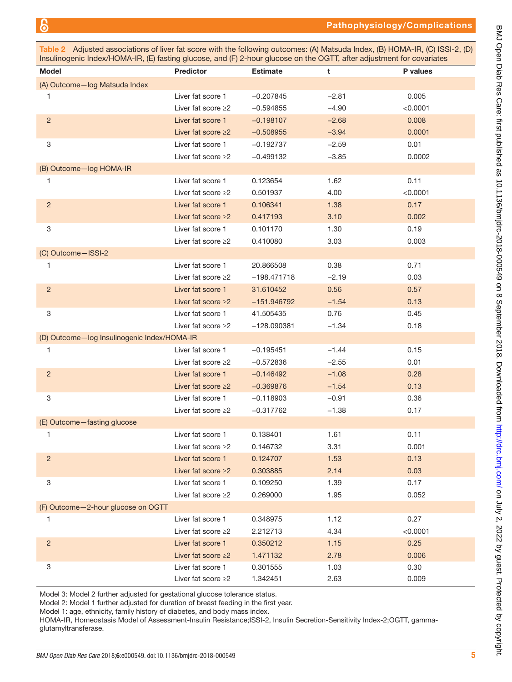<span id="page-4-0"></span>Table 2 Adjusted associations of liver fat score with the following outcomes: (A) Matsuda Index, (B) HOMA-IR, (C) ISSI-2, (D) Insulinogenic Index/HOMA-IR, (E) fasting glucose, and (F) 2-hour glucose on the OGTT, after adjustment for covariates

| <b>Model</b>                                | Predictor                | <b>Estimate</b> | t       | P values |  |  |
|---------------------------------------------|--------------------------|-----------------|---------|----------|--|--|
| (A) Outcome-log Matsuda Index               |                          |                 |         |          |  |  |
| 1                                           | Liver fat score 1        | $-0.207845$     | $-2.81$ | 0.005    |  |  |
|                                             | Liver fat score $\geq$ 2 | $-0.594855$     | $-4.90$ | < 0.0001 |  |  |
| $\overline{c}$                              | Liver fat score 1        | $-0.198107$     | $-2.68$ | 0.008    |  |  |
|                                             | Liver fat score $\geq$ 2 | $-0.508955$     | $-3.94$ | 0.0001   |  |  |
| $\ensuremath{\mathsf{3}}$                   | Liver fat score 1        | $-0.192737$     | $-2.59$ | 0.01     |  |  |
|                                             | Liver fat score $\geq$ 2 | $-0.499132$     | $-3.85$ | 0.0002   |  |  |
| (B) Outcome-log HOMA-IR                     |                          |                 |         |          |  |  |
| 1                                           | Liver fat score 1        | 0.123654        | 1.62    | 0.11     |  |  |
|                                             | Liver fat score $\geq$ 2 | 0.501937        | 4.00    | < 0.0001 |  |  |
| $\overline{c}$                              | Liver fat score 1        | 0.106341        | 1.38    | 0.17     |  |  |
|                                             | Liver fat score $\geq$ 2 | 0.417193        | 3.10    | 0.002    |  |  |
| 3                                           | Liver fat score 1        | 0.101170        | 1.30    | 0.19     |  |  |
|                                             | Liver fat score $\geq$ 2 | 0.410080        | 3.03    | 0.003    |  |  |
| (C) Outcome-ISSI-2                          |                          |                 |         |          |  |  |
| 1                                           | Liver fat score 1        | 20.866508       | 0.38    | 0.71     |  |  |
|                                             | Liver fat score $\geq$ 2 | $-198.471718$   | $-2.19$ | 0.03     |  |  |
| $\overline{c}$                              | Liver fat score 1        | 31.610452       | 0.56    | 0.57     |  |  |
|                                             | Liver fat score $\geq$ 2 | $-151.946792$   | $-1.54$ | 0.13     |  |  |
| 3                                           | Liver fat score 1        | 41.505435       | 0.76    | 0.45     |  |  |
|                                             | Liver fat score $\geq$ 2 | $-128.090381$   | $-1.34$ | 0.18     |  |  |
| (D) Outcome-log Insulinogenic Index/HOMA-IR |                          |                 |         |          |  |  |
| 1                                           | Liver fat score 1        | $-0.195451$     | $-1.44$ | 0.15     |  |  |
|                                             | Liver fat score $\geq$ 2 | $-0.572836$     | $-2.55$ | 0.01     |  |  |
| $\overline{c}$                              | Liver fat score 1        | $-0.146492$     | $-1.08$ | 0.28     |  |  |
|                                             | Liver fat score $\geq 2$ | $-0.369876$     | $-1.54$ | 0.13     |  |  |
| 3                                           | Liver fat score 1        | $-0.118903$     | $-0.91$ | 0.36     |  |  |
|                                             | Liver fat score $\geq$ 2 | $-0.317762$     | $-1.38$ | 0.17     |  |  |
| (E) Outcome-fasting glucose                 |                          |                 |         |          |  |  |
| 1                                           | Liver fat score 1        | 0.138401        | 1.61    | 0.11     |  |  |
|                                             | Liver fat score $\geq$ 2 | 0.146732        | 3.31    | 0.001    |  |  |
| $\overline{c}$                              | Liver fat score 1        | 0.124707        | 1.53    | 0.13     |  |  |
|                                             | Liver fat score $\geq$ 2 | 0.303885        | 2.14    | 0.03     |  |  |
| 3                                           | Liver fat score 1        | 0.109250        | 1.39    | 0.17     |  |  |
|                                             | Liver fat score $\geq$ 2 | 0.269000        | 1.95    | 0.052    |  |  |
| (F) Outcome-2-hour glucose on OGTT          |                          |                 |         |          |  |  |
| 1                                           | Liver fat score 1        | 0.348975        | 1.12    | 0.27     |  |  |
|                                             | Liver fat score $\geq$ 2 | 2.212713        | 4.34    | < 0.0001 |  |  |
| $\overline{c}$                              | Liver fat score 1        | 0.350212        | 1.15    | 0.25     |  |  |
|                                             | Liver fat score $\geq$ 2 | 1.471132        | 2.78    | 0.006    |  |  |
| 3                                           | Liver fat score 1        | 0.301555        | 1.03    | 0.30     |  |  |
|                                             | Liver fat score ≥2       | 1.342451        | 2.63    | 0.009    |  |  |

Model 3: Model 2 further adjusted for gestational glucose tolerance status.

Model 2: Model 1 further adjusted for duration of breast feeding in the first year.

Model 1: age, ethnicity, family history of diabetes, and body mass index.

HOMA-IR, Homeostasis Model of Assessment-Insulin Resistance;ISSI-2, Insulin Secretion-Sensitivity Index-2;OGTT, gammaglutamyltransferase.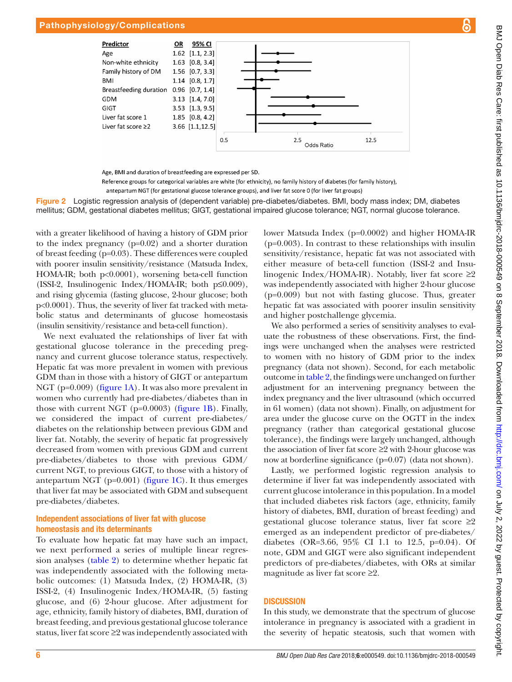#### Pathophysiology/Complications



Age, BMI and duration of breastfeeding are expressed per SD.

<span id="page-5-0"></span>Reference groups for categorical variables are white (for ethnicity), no family history of diabetes (for family history), antepartum NGT (for gestational glucose tolerance groups), and liver fat score 0 (for liver fat groups)

Figure 2 Logistic regression analysis of (dependent variable) pre-diabetes/diabetes. BMI, body mass index; DM, diabetes mellitus; GDM, gestational diabetes mellitus; GIGT, gestational impaired glucose tolerance; NGT, normal glucose tolerance.

with a greater likelihood of having a history of GDM prior to the index pregnancy (p=0.02) and a shorter duration of breast feeding (p=0.03). These differences were coupled with poorer insulin sensitivity/resistance (Matsuda Index, HOMA-IR; both p<0.0001), worsening beta-cell function (ISSI-2, Insulinogenic Index/HOMA-IR; both p≤0.009), and rising glycemia (fasting glucose, 2-hour glucose; both p<0.0001). Thus, the severity of liver fat tracked with metabolic status and determinants of glucose homeostasis (insulin sensitivity/resistance and beta-cell function).

We next evaluated the relationships of liver fat with gestational glucose tolerance in the preceding pregnancy and current glucose tolerance status, respectively. Hepatic fat was more prevalent in women with previous GDM than in those with a history of GIGT or antepartum NGT (p=0.009) ([figure](#page-3-0) 1A). It was also more prevalent in women who currently had pre-diabetes/diabetes than in those with current NGT (p=0.0003) ([figure](#page-3-0) 1B). Finally, we considered the impact of current pre-diabetes/ diabetes on the relationship between previous GDM and liver fat. Notably, the severity of hepatic fat progressively decreased from women with previous GDM and current pre-diabetes/diabetes to those with previous GDM/ current NGT, to previous GIGT, to those with a history of antepartum NGT ( $p=0.001$ ) ([figure](#page-3-0) 1C). It thus emerges that liver fat may be associated with GDM and subsequent pre-diabetes/diabetes.

#### Independent associations of liver fat with glucose homeostasis and its determinants

To evaluate how hepatic fat may have such an impact, we next performed a series of multiple linear regression analyses [\(table](#page-4-0) 2) to determine whether hepatic fat was independently associated with the following metabolic outcomes: (1) Matsuda Index, (2) HOMA-IR, (3) ISSI-2, (4) Insulinogenic Index/HOMA-IR, (5) fasting glucose, and (6) 2-hour glucose. After adjustment for age, ethnicity, family history of diabetes, BMI, duration of breast feeding, and previous gestational glucose tolerance status, liver fat score ≥2 was independently associated with

lower Matsuda Index (p=0.0002) and higher HOMA-IR (p=0.003). In contrast to these relationships with insulin sensitivity/resistance, hepatic fat was not associated with either measure of beta-cell function (ISSI-2 and Insulinogenic Index/HOMA-IR). Notably, liver fat score  $\geq 2$ was independently associated with higher 2-hour glucose (p=0.009) but not with fasting glucose. Thus, greater hepatic fat was associated with poorer insulin sensitivity and higher postchallenge glycemia.

We also performed a series of sensitivity analyses to evaluate the robustness of these observations. First, the findings were unchanged when the analyses were restricted to women with no history of GDM prior to the index pregnancy (data not shown). Second, for each metabolic outcome in [table](#page-4-0) 2, the findings were unchanged on further adjustment for an intervening pregnancy between the index pregnancy and the liver ultrasound (which occurred in 61 women) (data not shown). Finally, on adjustment for area under the glucose curve on the OGTT in the index pregnancy (rather than categorical gestational glucose tolerance), the findings were largely unchanged, although the association of liver fat score ≥2 with 2-hour glucose was now at borderline significance (p=0.07) (data not shown).

Lastly, we performed logistic regression analysis to determine if liver fat was independently associated with current glucose intolerance in this population. In a model that included diabetes risk factors (age, ethnicity, family history of diabetes, BMI, duration of breast feeding) and gestational glucose tolerance status, liver fat score  $\geq 2$ emerged as an independent predictor of pre-diabetes/ diabetes (OR=3.66, 95% CI 1.1 to 12.5, p=0.04). Of note, GDM and GIGT were also significant independent predictors of pre-diabetes/diabetes, with ORs at similar magnitude as liver fat score ≥2.

#### **DISCUSSION**

In this study, we demonstrate that the spectrum of glucose intolerance in pregnancy is associated with a gradient in the severity of hepatic steatosis, such that women with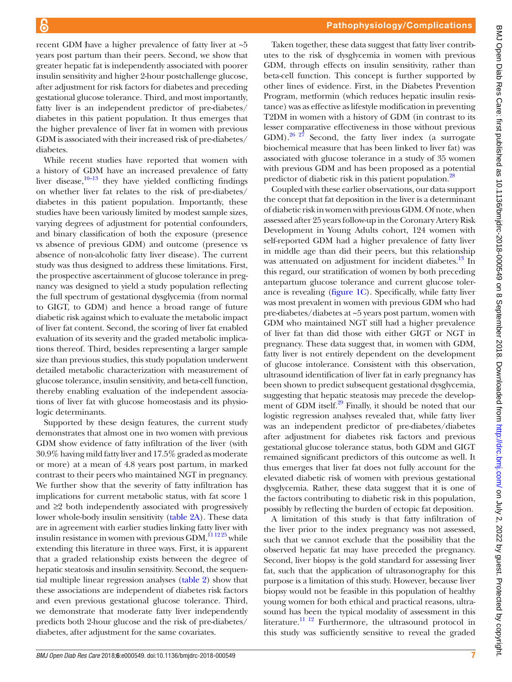recent GDM have a higher prevalence of fatty liver at ~5 years post partum than their peers. Second, we show that greater hepatic fat is independently associated with poorer insulin sensitivity and higher 2-hour postchallenge glucose, after adjustment for risk factors for diabetes and preceding gestational glucose tolerance. Third, and most importantly, fatty liver is an independent predictor of pre-diabetes/ diabetes in this patient population. It thus emerges that the higher prevalence of liver fat in women with previous GDM is associated with their increased risk of pre-diabetes/ diabetes.

While recent studies have reported that women with a history of GDM have an increased prevalence of fatty liver disease, $10-13$  they have yielded conflicting findings on whether liver fat relates to the risk of pre-diabetes/ diabetes in this patient population. Importantly, these studies have been variously limited by modest sample sizes, varying degrees of adjustment for potential confounders, and binary classification of both the exposure (presence vs absence of previous GDM) and outcome (presence vs absence of non-alcoholic fatty liver disease). The current study was thus designed to address these limitations. First, the prospective ascertainment of glucose tolerance in pregnancy was designed to yield a study population reflecting the full spectrum of gestational dysglycemia (from normal to GIGT, to GDM) and hence a broad range of future diabetic risk against which to evaluate the metabolic impact of liver fat content. Second, the scoring of liver fat enabled evaluation of its severity and the graded metabolic implications thereof. Third, besides representing a larger sample size than previous studies, this study population underwent detailed metabolic characterization with measurement of glucose tolerance, insulin sensitivity, and beta-cell function, thereby enabling evaluation of the independent associations of liver fat with glucose homeostasis and its physiologic determinants.

Supported by these design features, the current study demonstrates that almost one in two women with previous GDM show evidence of fatty infiltration of the liver (with 30.9% having mild fatty liver and 17.5% graded as moderate or more) at a mean of 4.8 years post partum, in marked contrast to their peers who maintained NGT in pregnancy. We further show that the severity of fatty infiltration has implications for current metabolic status, with fat score 1 and ≥2 both independently associated with progressively lower whole-body insulin sensitivity [\(table](#page-4-0) 2A). These data are in agreement with earlier studies linking fatty liver with insulin resistance in women with previous  $GDM$ ,  $^{11\,12\,25}$  while extending this literature in three ways. First, it is apparent that a graded relationship exists between the degree of hepatic steatosis and insulin sensitivity. Second, the sequential multiple linear regression analyses ([table](#page-4-0) 2) show that these associations are independent of diabetes risk factors and even previous gestational glucose tolerance. Third, we demonstrate that moderate fatty liver independently predicts both 2-hour glucose and the risk of pre-diabetes/ diabetes, after adjustment for the same covariates.

Taken together, these data suggest that fatty liver contributes to the risk of dysglycemia in women with previous GDM, through effects on insulin sensitivity, rather than beta-cell function. This concept is further supported by other lines of evidence. First, in the Diabetes Prevention Program, metformin (which reduces hepatic insulin resistance) was as effective as lifestyle modification in preventing T2DM in women with a history of GDM (in contrast to its lesser comparative effectiveness in those without previous GDM).<sup>[26 27](#page-7-17)</sup> Second, the fatty liver index (a surrogate biochemical measure that has been linked to liver fat) was associated with glucose tolerance in a study of 35 women with previous GDM and has been proposed as a potential predictor of diabetic risk in this patient population.<sup>[28](#page-7-18)</sup>

Coupled with these earlier observations, our data support the concept that fat deposition in the liver is a determinant of diabetic risk in women with previous GDM. Of note, when assessed after 25 years follow-up in the Coronary Artery Risk Development in Young Adults cohort, 124 women with self-reported GDM had a higher prevalence of fatty liver in middle age than did their peers, but this relationship was attenuated on adjustment for incident diabetes.<sup>13</sup> In this regard, our stratification of women by both preceding antepartum glucose tolerance and current glucose tolerance is revealing ([figure](#page-3-0) 1C). Specifically, while fatty liver was most prevalent in women with previous GDM who had pre-diabetes/diabetes at ~5 years post partum, women with GDM who maintained NGT still had a higher prevalence of liver fat than did those with either GIGT or NGT in pregnancy. These data suggest that, in women with GDM, fatty liver is not entirely dependent on the development of glucose intolerance. Consistent with this observation, ultrasound identification of liver fat in early pregnancy has been shown to predict subsequent gestational dysglycemia, suggesting that hepatic steatosis may precede the develop-ment of GDM itself.<sup>[29](#page-7-20)</sup> Finally, it should be noted that our logistic regression analyses revealed that, while fatty liver was an independent predictor of pre-diabetes/diabetes after adjustment for diabetes risk factors and previous gestational glucose tolerance status, both GDM and GIGT remained significant predictors of this outcome as well. It thus emerges that liver fat does not fully account for the elevated diabetic risk of women with previous gestational dysglycemia. Rather, these data suggest that it is one of the factors contributing to diabetic risk in this population, possibly by reflecting the burden of ectopic fat deposition.

A limitation of this study is that fatty infiltration of the liver prior to the index pregnancy was not assessed, such that we cannot exclude that the possibility that the observed hepatic fat may have preceded the pregnancy. Second, liver biopsy is the gold standard for assessing liver fat, such that the application of ultrasonography for this purpose is a limitation of this study. However, because liver biopsy would not be feasible in this population of healthy young women for both ethical and practical reasons, ultrasound has been the typical modality of assessment in this literature.<sup>11 12</sup> Furthermore, the ultrasound protocol in this study was sufficiently sensitive to reveal the graded